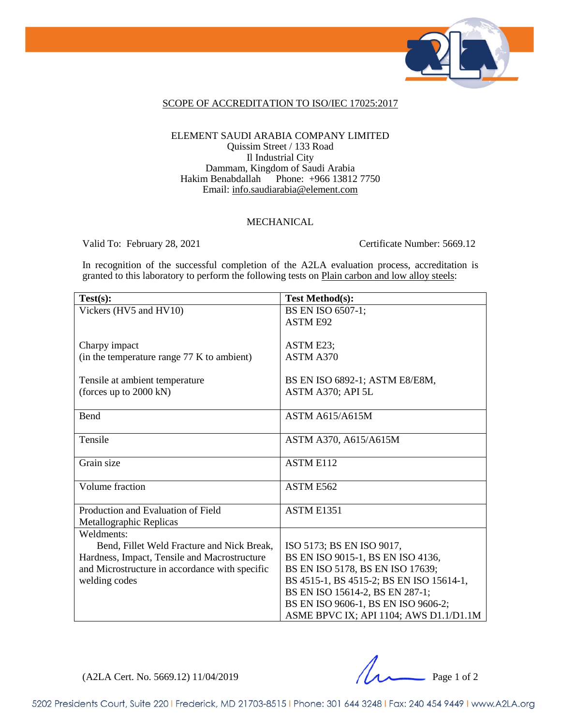

### SCOPE OF ACCREDITATION TO ISO/IEC 17025:2017

### ELEMENT SAUDI ARABIA COMPANY LIMITED Quissim Street / 133 Road Il Industrial City Dammam, Kingdom of Saudi Arabia<br>Hakim Benabdallah Phone: +966 13812 Phone:  $+966$  13812 7750 Email: [info.saudiarabia@element.com](mailto:info.saudiarabia@element.com)

### MECHANICAL

Valid To: February 28, 2021 Certificate Number: 5669.12

In recognition of the successful completion of the A2LA evaluation process, accreditation is granted to this laboratory to perform the following tests on Plain carbon and low alloy steels:

| Test(s):                                       | <b>Test Method(s):</b>                   |
|------------------------------------------------|------------------------------------------|
| Vickers (HV5 and HV10)                         | BS EN ISO 6507-1;                        |
|                                                | <b>ASTM E92</b>                          |
|                                                |                                          |
| Charpy impact                                  | ASTM E23;                                |
| (in the temperature range 77 K to ambient)     | ASTM A370                                |
|                                                |                                          |
| Tensile at ambient temperature                 | BS EN ISO 6892-1; ASTM E8/E8M,           |
| (forces up to $2000 \text{ kN}$ )              | ASTM A370; API 5L                        |
|                                                |                                          |
| Bend                                           | <b>ASTM A615/A615M</b>                   |
|                                                |                                          |
| Tensile                                        | ASTM A370, A615/A615M                    |
|                                                |                                          |
| Grain size                                     | <b>ASTM E112</b>                         |
|                                                |                                          |
| Volume fraction                                | ASTM E562                                |
|                                                |                                          |
| Production and Evaluation of Field             | ASTM E1351                               |
| Metallographic Replicas                        |                                          |
| Weldments:                                     |                                          |
| Bend, Fillet Weld Fracture and Nick Break,     | ISO 5173; BS EN ISO 9017,                |
| Hardness, Impact, Tensile and Macrostructure   | BS EN ISO 9015-1, BS EN ISO 4136,        |
| and Microstructure in accordance with specific | BS EN ISO 5178, BS EN ISO 17639;         |
| welding codes                                  | BS 4515-1, BS 4515-2; BS EN ISO 15614-1, |
|                                                | BS EN ISO 15614-2, BS EN 287-1;          |
|                                                | BS EN ISO 9606-1, BS EN ISO 9606-2;      |
|                                                | ASME BPVC IX; API 1104; AWS D1.1/D1.1M   |

(A2LA Cert. No. 5669.12) 11/04/2019 Page 1 of 2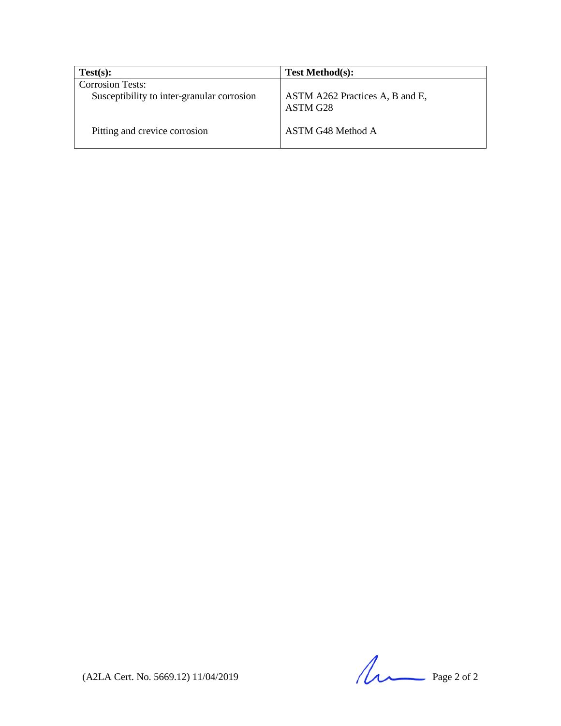| Test(s):                                                              | <b>Test Method(s):</b>                      |
|-----------------------------------------------------------------------|---------------------------------------------|
| <b>Corrosion Tests:</b><br>Susceptibility to inter-granular corrosion | ASTM A262 Practices A, B and E,<br>ASTM G28 |
| Pitting and crevice corrosion                                         | ASTM G48 Method A                           |

 $(A2LA$  Cert. No. 5669.12) 11/04/2019 Page 2 of 2